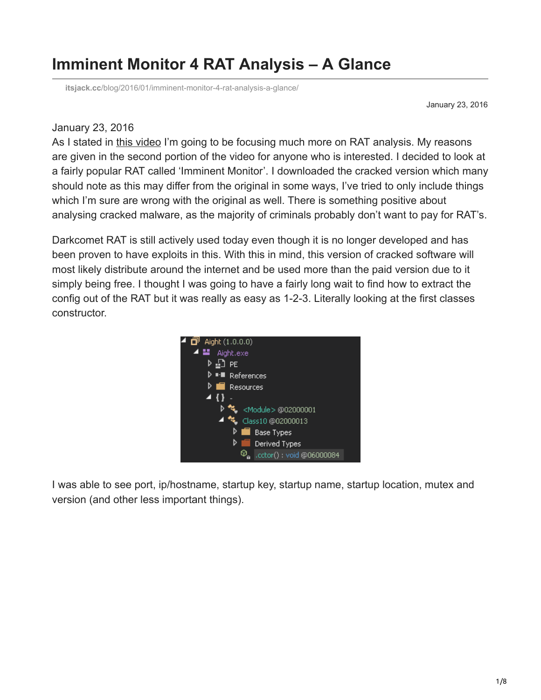## **Imminent Monitor 4 RAT Analysis – A Glance**

**itsjack.cc**[/blog/2016/01/imminent-monitor-4-rat-analysis-a-glance/](https://itsjack.cc/blog/2016/01/imminent-monitor-4-rat-analysis-a-glance/)

January 23, 2016

## January 23, 2016

As I stated in [this video](https://www.youtube.com/watch?v=gXH2Ib4sXW8) I'm going to be focusing much more on RAT analysis. My reasons are given in the second portion of the video for anyone who is interested. I decided to look at a fairly popular RAT called 'Imminent Monitor'. I downloaded the cracked version which many should note as this may differ from the original in some ways, I've tried to only include things which I'm sure are wrong with the original as well. There is something positive about analysing cracked malware, as the majority of criminals probably don't want to pay for RAT's.

Darkcomet RAT is still actively used today even though it is no longer developed and has been proven to have exploits in this. With this in mind, this version of cracked software will most likely distribute around the internet and be used more than the paid version due to it simply being free. I thought I was going to have a fairly long wait to find how to extract the config out of the RAT but it was really as easy as 1-2-3. Literally looking at the first classes constructor.



I was able to see port, ip/hostname, startup key, startup name, startup location, mutex and version (and other less important things).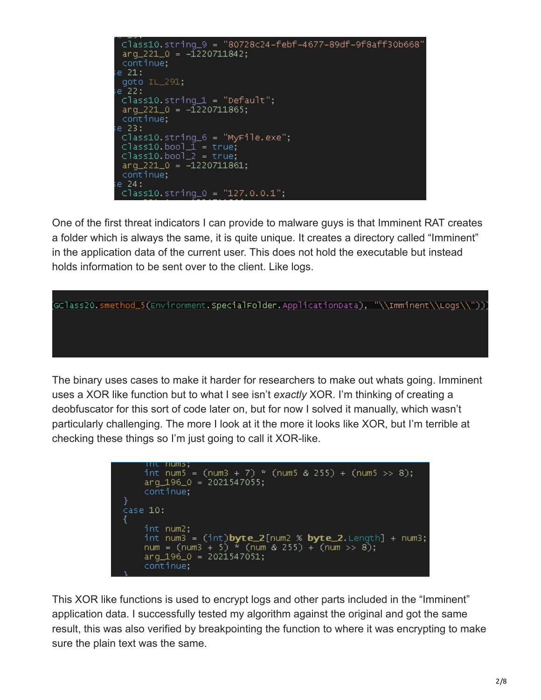Class10.string\_9 = "80728c24-febf-4677-89df-9f8aff30b668"  $arg_221_0 = -1220711842;$ continue; e 21: goto IL\_291; e 22 :  $Class10. string_1 = "Default";$  $arg_221_0 = -1220711865;$ continue; e 23:  $Class10. string_6 = "MyFile.exe";$  $Class10, bool\_1 = true;$  $Class10, bool2 = true;$  $arg_221_0 = -1220711861;$ continue;  $e$  24:  $Class10. string_0 = "127.0.0.1";$ 

One of the first threat indicators I can provide to malware guys is that Imminent RAT creates a folder which is always the same, it is quite unique. It creates a directory called "Imminent" in the application data of the current user. This does not hold the executable but instead holds information to be sent over to the client. Like logs.

[GClass20.smethod\_5(Environment.<mark>SpecialFolder.</mark>ApplicationData), "\\Imminent\\Logs\\"))

The binary uses cases to make it harder for researchers to make out whats going. Imminent uses a XOR like function but to what I see isn't *exactly* XOR. I'm thinking of creating a deobfuscator for this sort of code later on, but for now I solved it manually, which wasn't particularly challenging. The more I look at it the more it looks like XOR, but I'm terrible at checking these things so I'm just going to call it XOR-like.

```
iniu nums:
    int num5 = (num3 + 7) * (num5 & 255) + (num5 >> 8);arg_196_0 = 2021547055;continue;
}
case 10:
    int num2;
    int num3 = (int)byte_2[num2 % byte_2.Length] + num3;
    num = (num3 + 5) " (num 8 255) + (num > 8);arg_196_0 = 2021547051;
    continue;
```
This XOR like functions is used to encrypt logs and other parts included in the "Imminent" application data. I successfully tested my algorithm against the original and got the same result, this was also verified by breakpointing the function to where it was encrypting to make sure the plain text was the same.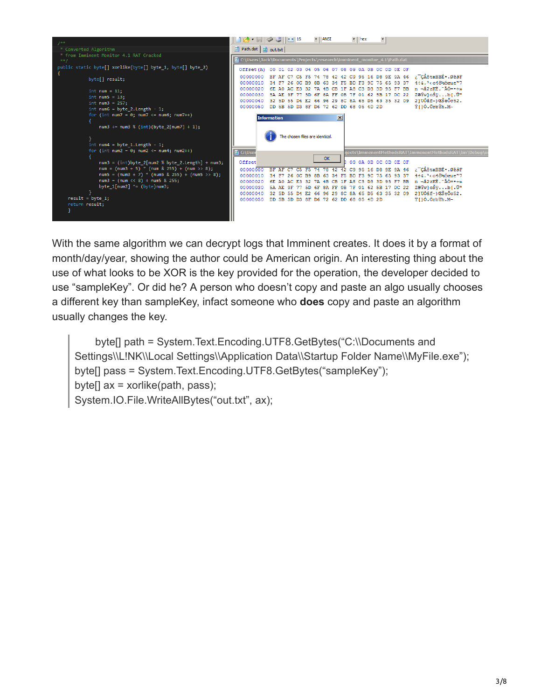

With the same algorithm we can decrypt logs that Imminent creates. It does it by a format of month/day/year, showing the author could be American origin. An interesting thing about the use of what looks to be XOR is the key provided for the operation, the developer decided to use "sampleKey". Or did he? A person who doesn't copy and paste an algo usually chooses a different key than sampleKey, infact someone who **does** copy and paste an algorithm usually changes the key.

 byte[] path = System.Text.Encoding.UTF8.GetBytes("C:\\Documents and Settings\\L!NK\\Local Settings\\Application Data\\Startup Folder Name\\MyFile.exe"); byte[] pass = System.Text.Encoding.UTF8.GetBytes("sampleKey"); byte $[]$  ax = xorlike(path, pass); System.IO.File.WriteAllBytes("out.txt", ax);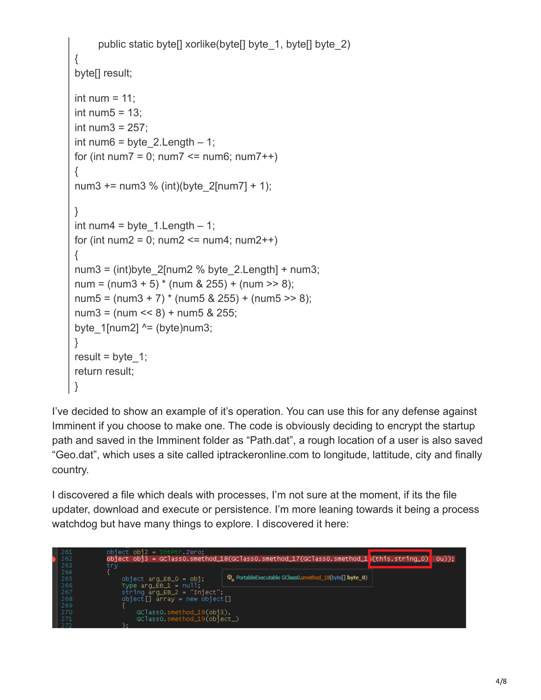```
public static byte<sup>[]</sup> xorlike(byte<sup>[]</sup> byte_1, byte<sup>[]</sup> byte_2)
{
byte<sup>[]</sup> result;
int num = 11:
int num5 = 13;
int num3 = 257:
int num6 = byte 2.Length – 1;
for (int num7 = 0; num7 < = num6; num7++)
{
num3 += num3 % (int)(byte 2[num7] + 1);
}
int num4 = byte 1. Length – 1;
for (int num2 = 0; num2 \le num4; num2++)
{
num3 = (int)byte 2[num2 % byte 2.Length] + num3;
num = (num3 + 5) * (num 8 255) + (num >> 8);num5 = (num3 + 7) * (num5 \& 255) + (num5 >> 8);num3 = (num \le 8) + num5 & 255;
byte 1[num2] ^{\wedge} = (byte)num3;
}
result = byte 1;
return result;
}
```
I've decided to show an example of it's operation. You can use this for any defense against Imminent if you choose to make one. The code is obviously deciding to encrypt the startup path and saved in the Imminent folder as "Path.dat", a rough location of a user is also saved "Geo.dat", which uses a site called iptrackeronline.com to longitude, lattitude, city and finally country.

I discovered a file which deals with processes, I'm not sure at the moment, if its the file updater, download and execute or persistence. I'm more leaning towards it being a process watchdog but have many things to explore. I discovered it here:

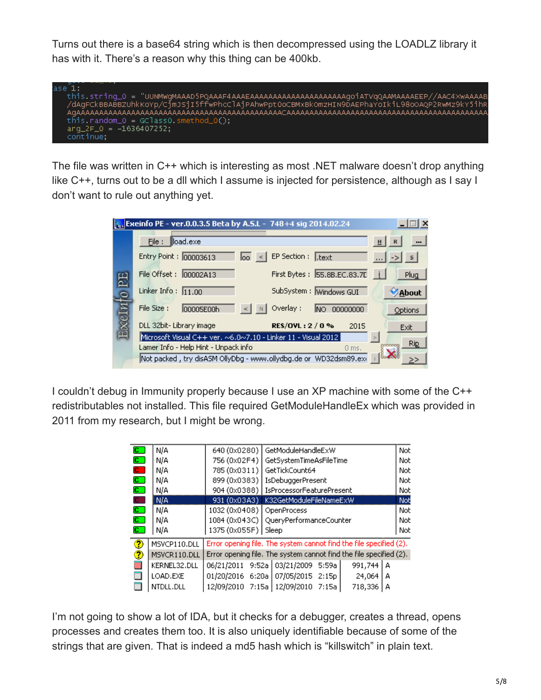Turns out there is a base64 string which is then decompressed using the LOADLZ library it has with it. There's a reason why this thing can be 400kb.



The file was written in C++ which is interesting as most .NET malware doesn't drop anything like C++, turns out to be a dll which I assume is injected for persistence, although as I say I don't want to rule out anything yet.

| <b>Example 2014.02.24</b> Exempe PE - ver.0.0.3.5 Beta by A.S.L - 748+4 sig 2014.02.24 | l x                                                                        |                              |
|----------------------------------------------------------------------------------------|----------------------------------------------------------------------------|------------------------------|
| 呂                                                                                      | load.exe<br>File:                                                          | H<br>$\blacksquare$          |
|                                                                                        | EP Section: Lext<br>Entry Point: 00003613<br>$\overline{a}$ <              | $\ .\ $ $\rightarrow$ $\ $ s |
|                                                                                        | First Bytes: 55.8B.EC.83.7E<br>File Offset:<br>00002A13                    | Plug                         |
|                                                                                        | Linker Info: $11.00$<br>SubSystem: Windows GUI                             | About                        |
|                                                                                        | Overlay:<br>File Size:<br>00005E00h<br>00000000<br>INO.                    | Options                      |
|                                                                                        | DLL 32bit-Library image<br>RES/OVL: 2 / 0 %<br>2015                        | Exit                         |
|                                                                                        | Microsoft Visual C++ ver. $\sim$ 6.0 $\sim$ 7.10 - Linker 11 - Visual 2012 |                              |
|                                                                                        | Lamer Info - Help Hint - Unpack info<br>$0$ ms.                            | Rip                          |
|                                                                                        | Not packed , try disASM OllyDbg - www.ollydbg.de or WD32dsm89.exi          |                              |

I couldn't debug in Immunity properly because I use an XP machine with some of the C++ redistributables not installed. This file required GetModuleHandleEx which was provided in 2011 from my research, but I might be wrong.

| $\overline{\mathbf{c}}$ . | N/A          | 640 (0x0280)                                                       | GetModuleHandleExW                                                 | Not.       |  |
|---------------------------|--------------|--------------------------------------------------------------------|--------------------------------------------------------------------|------------|--|
| $\mathbf{c}$              | N/A          | 756 (0x02F4)                                                       | GetSystemTimeAsFileTime                                            | Not.       |  |
| $\mathbf{C}$              | N/A          | 785 (0x0311)                                                       | GetTickCount64                                                     | Not.       |  |
| $\overline{\mathbf{c}}$ . | N/A          |                                                                    | 899 (0x0383)   IsDebuggerPresent                                   | Not.       |  |
| $\overline{\mathbf{c}}$ . | N/A          |                                                                    | 904 (0x0388)   IsProcessorFeaturePresent                           | <b>Not</b> |  |
| $\mathbf{c}$              | i nja        | 931 (0x03A3)                                                       | K32GetModuleFileNameExW                                            | Not        |  |
| $\overline{\mathbf{c}}$ . | N/A          | 1032 (0x0408)  <br>OpenProcess                                     |                                                                    |            |  |
| $\overline{\mathbf{c}}$ . | N/A          |                                                                    | 1084 (0x043C)   QueryPerformanceCounter                            |            |  |
| $\overline{\mathbf{c}}$ . | N/A          | 1375 (0x055F) Sleep                                                |                                                                    | Not        |  |
| 7                         | MSVCP110.DLL |                                                                    | Error opening file. The system cannot find the file specified (2). |            |  |
| Э                         | MSVCR110.DLL | Error opening file. The system cannot find the file specified (2). |                                                                    |            |  |
|                           | KERNEL32.DLL |                                                                    | 06/21/2011 9:52a 03/21/2009 5:59a<br>991,744<br>А                  |            |  |
|                           | LOAD.EXE     |                                                                    | 01/20/2016 6:20a 07/05/2015 2:15p<br>24,064<br>А                   |            |  |
|                           | NTDLL.DLL    |                                                                    | 12/09/2010 7:15a   12/09/2010 7:15a  <br>718,336<br>A              |            |  |

I'm not going to show a lot of IDA, but it checks for a debugger, creates a thread, opens processes and creates them too. It is also uniquely identifiable because of some of the strings that are given. That is indeed a md5 hash which is "killswitch" in plain text.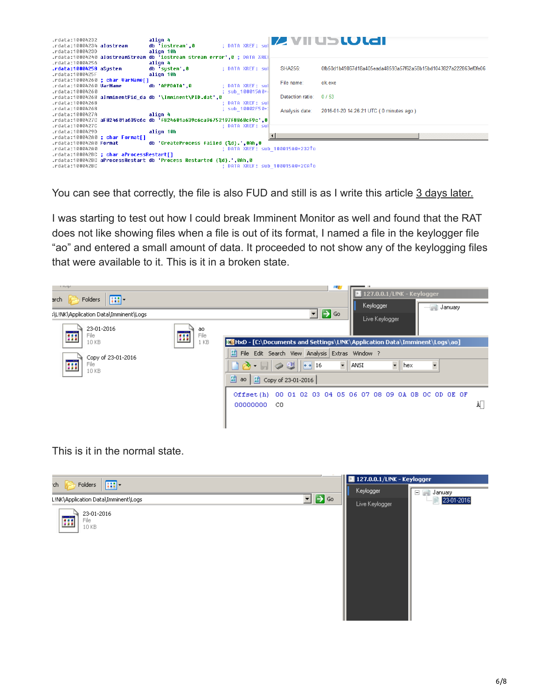

You can see that correctly, the file is also FUD and still is as I write this article [3 days later.](https://www.virustotal.com/en/file/0fb50d1b49867d18a405eada48593a57f62a58b15bd1043827a222863ef0fe06/analysis/)

I was starting to test out how I could break Imminent Monitor as well and found that the RAT does not like showing files when a file is out of its format, I named a file in the keylogger file "ao" and entered a small amount of data. It proceeded to not show any of the keylogging files that were available to it. This is it in a broken state.



This is it in the normal state.

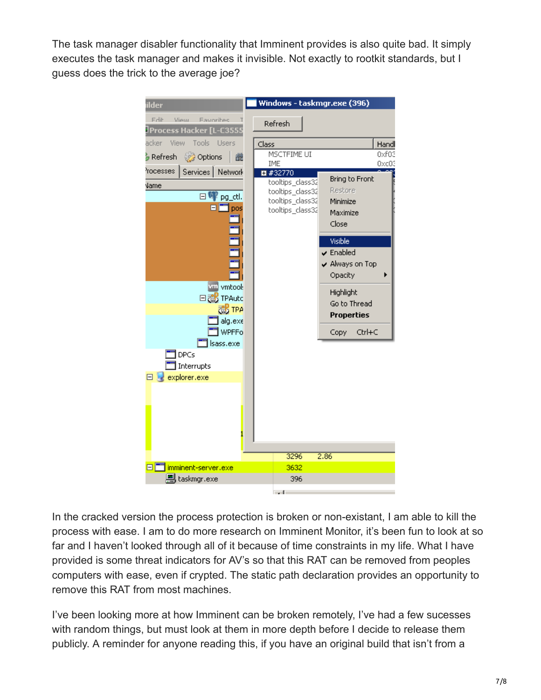The task manager disabler functionality that Imminent provides is also quite bad. It simply executes the task manager and makes it invisible. Not exactly to rootkit standards, but I guess does the trick to the average joe?



In the cracked version the process protection is broken or non-existant, I am able to kill the process with ease. I am to do more research on Imminent Monitor, it's been fun to look at so far and I haven't looked through all of it because of time constraints in my life. What I have provided is some threat indicators for AV's so that this RAT can be removed from peoples computers with ease, even if crypted. The static path declaration provides an opportunity to remove this RAT from most machines.

I've been looking more at how Imminent can be broken remotely, I've had a few sucesses with random things, but must look at them in more depth before I decide to release them publicly. A reminder for anyone reading this, if you have an original build that isn't from a